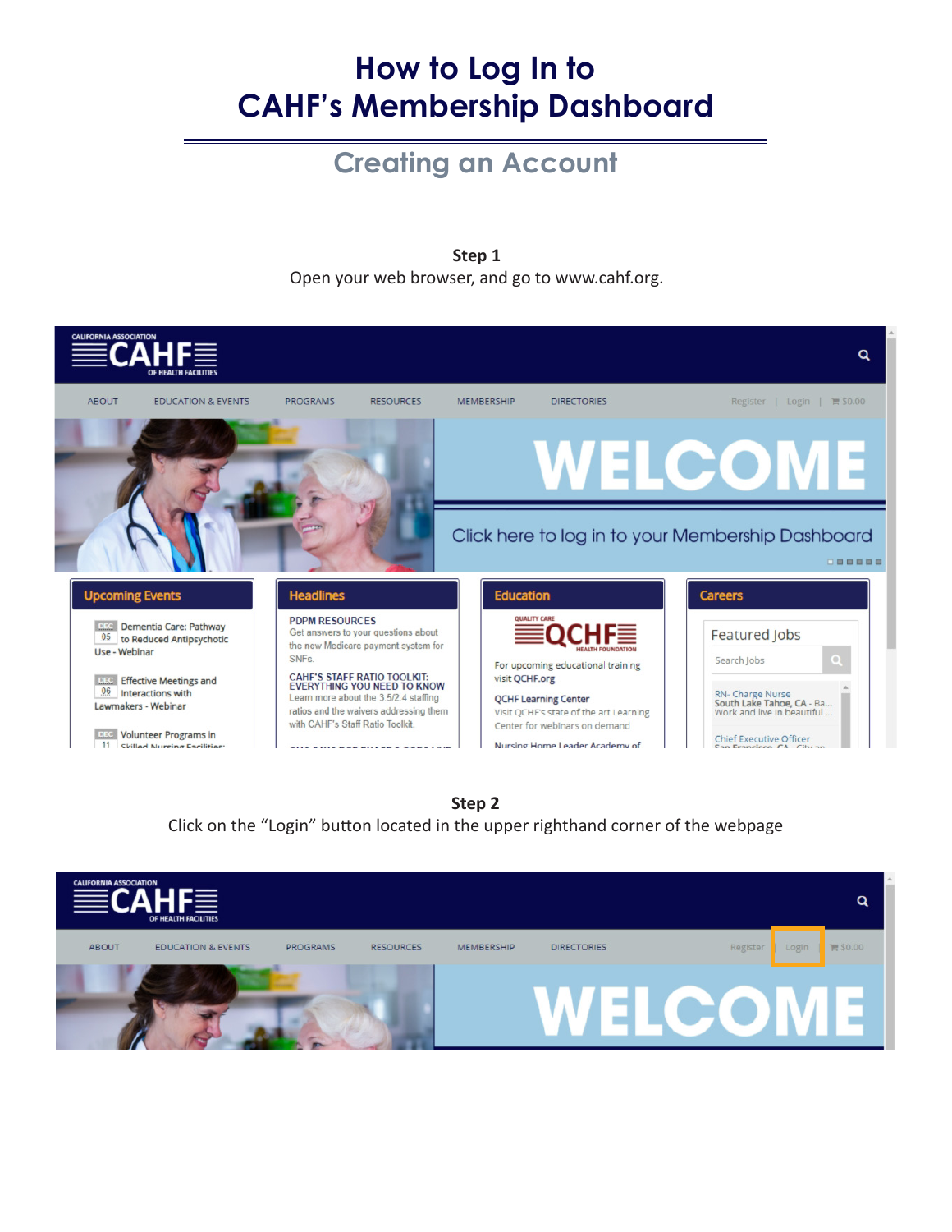# **How to Log In to CAHF's Membership Dashboard**

### **Creating an Account**

**Step 1**

Open your web browser, and go to www.cahf.org.





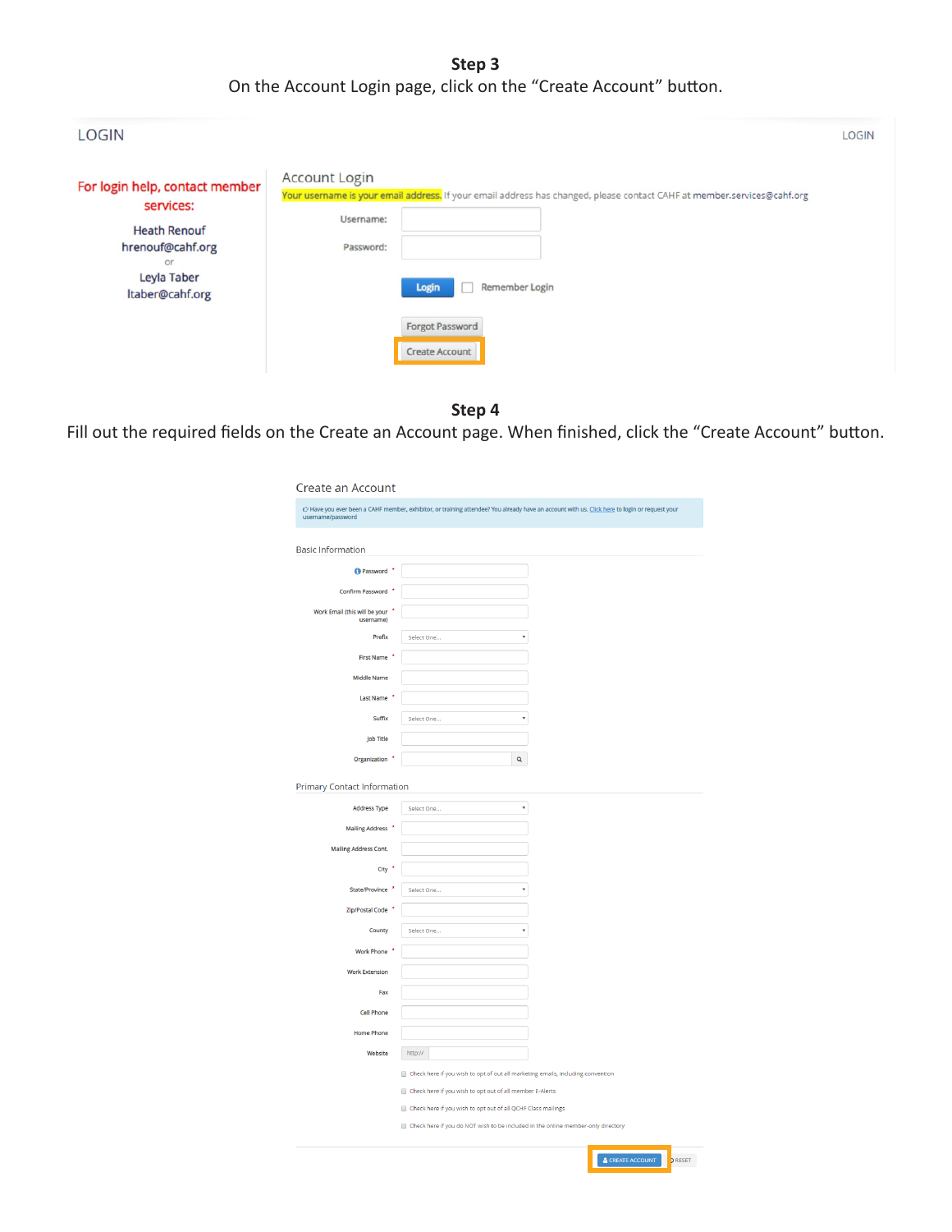**Step 3** On the Account Login page, click on the "Create Account" button.

| <b>LOGIN</b>                                                                                                                   |                                                                                                                                                                                                                                                                | <b>LOGIN</b> |
|--------------------------------------------------------------------------------------------------------------------------------|----------------------------------------------------------------------------------------------------------------------------------------------------------------------------------------------------------------------------------------------------------------|--------------|
| For login help, contact member<br>services:<br><b>Heath Renouf</b><br>hrenouf@cahf.org<br>or<br>Leyla Taber<br>Itaber@cahf.org | <b>Account Login</b><br>Your username is your email address. If your email address has changed, please contact CAHF at member.services@cahf.org<br>Username:<br>Password:<br><b>Remember Login</b><br>Login<br><b>Forgot Password</b><br><b>Create Account</b> |              |

### **Step 4**

Fill out the required fields on the Create an Account page. When finished, click the "Create Account" button.

| <b>Create an Account</b>                     |   |                                                                                                                                             |                                                                                                                                                            |
|----------------------------------------------|---|---------------------------------------------------------------------------------------------------------------------------------------------|------------------------------------------------------------------------------------------------------------------------------------------------------------|
| username/password                            |   |                                                                                                                                             | C <sup>2</sup> Have you ever been a CAHF member, exhibitor, or training attendee? You already have an account with us. Click here to login or request your |
| <b>Basic Information</b>                     |   |                                                                                                                                             |                                                                                                                                                            |
| Password <sup>*</sup>                        |   |                                                                                                                                             |                                                                                                                                                            |
| Confirm Password                             |   |                                                                                                                                             |                                                                                                                                                            |
| Work Email (this will be your *<br>username) |   |                                                                                                                                             |                                                                                                                                                            |
| Prefix                                       |   | Select One                                                                                                                                  |                                                                                                                                                            |
| <b>First Name</b>                            |   |                                                                                                                                             |                                                                                                                                                            |
| <b>Middle Name</b>                           |   |                                                                                                                                             |                                                                                                                                                            |
| Last Name                                    |   |                                                                                                                                             |                                                                                                                                                            |
| Suffix                                       |   | Select One<br>٠                                                                                                                             |                                                                                                                                                            |
| <b>Job Title</b>                             |   |                                                                                                                                             |                                                                                                                                                            |
| Organization *                               |   | Q                                                                                                                                           |                                                                                                                                                            |
| <b>Primary Contact Information</b>           |   |                                                                                                                                             |                                                                                                                                                            |
| <b>Address Type</b>                          |   | $\overline{\mathbf v}$<br>Select One                                                                                                        |                                                                                                                                                            |
| Mailing Address                              |   |                                                                                                                                             |                                                                                                                                                            |
| <b>Mailing Address Cont.</b>                 |   |                                                                                                                                             |                                                                                                                                                            |
| City <sup>*</sup>                            |   |                                                                                                                                             |                                                                                                                                                            |
| State/Province                               | ٠ | $\overline{\mathbf{v}}$<br>Select One                                                                                                       |                                                                                                                                                            |
| Zip/Postal Code                              |   |                                                                                                                                             |                                                                                                                                                            |
| County                                       |   | Select One<br>$\bar{\mathbf{v}}$                                                                                                            |                                                                                                                                                            |
| Work Phone *                                 |   |                                                                                                                                             |                                                                                                                                                            |
| <b>Work Extension</b>                        |   |                                                                                                                                             |                                                                                                                                                            |
| Fax                                          |   |                                                                                                                                             |                                                                                                                                                            |
| <b>Cell Phone</b>                            |   |                                                                                                                                             |                                                                                                                                                            |
| <b>Home Phone</b>                            |   |                                                                                                                                             |                                                                                                                                                            |
| Website                                      |   | http://                                                                                                                                     |                                                                                                                                                            |
|                                              |   | Check here if you wish to opt of out all marketing emails, including convention<br>Check here if you wish to opt out of all member E-Alerts |                                                                                                                                                            |
|                                              |   | Check here if you wish to opt out of all QCHF Class mailings                                                                                |                                                                                                                                                            |
|                                              |   | Check here if you do NOT wish to be included in the online member-only directory                                                            |                                                                                                                                                            |
|                                              |   |                                                                                                                                             |                                                                                                                                                            |

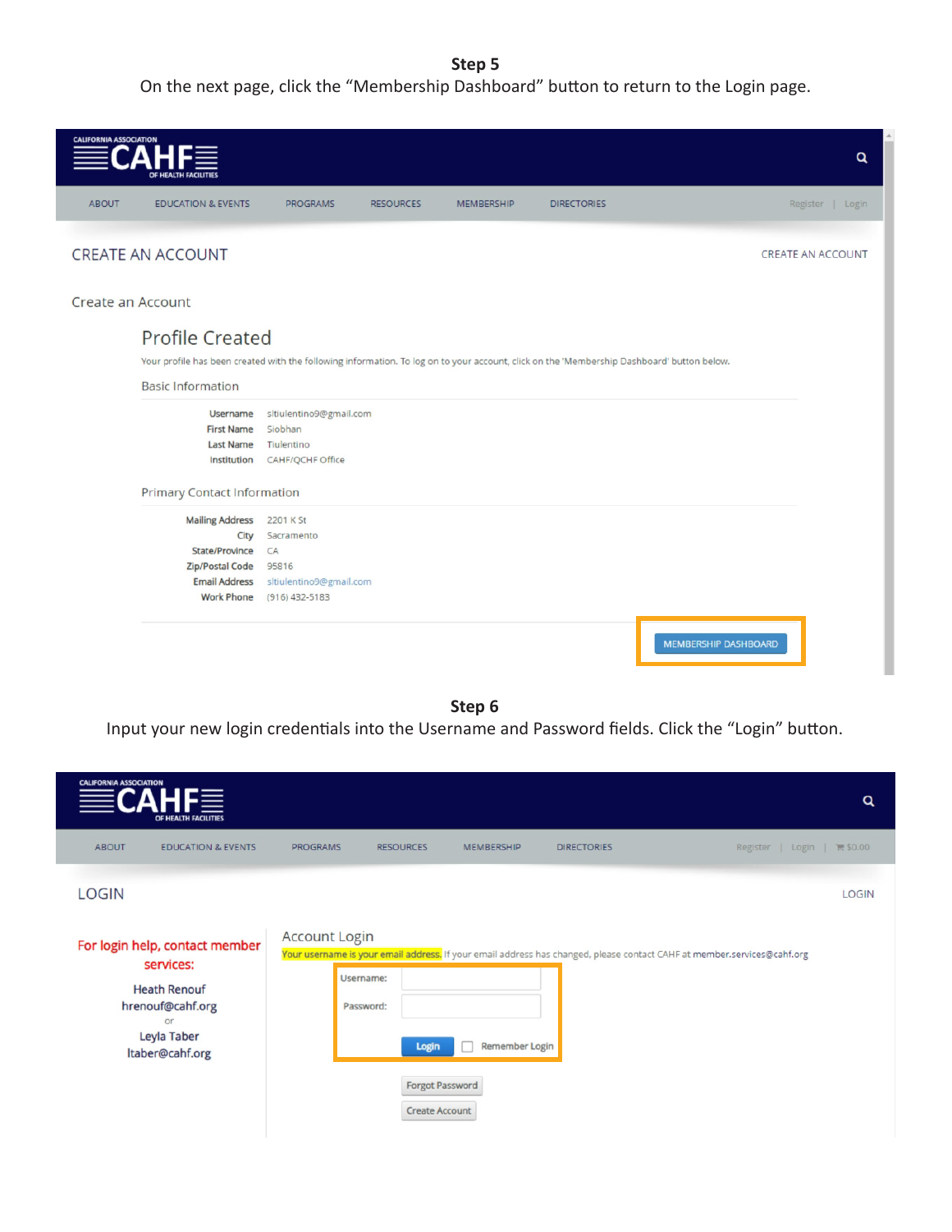#### **Step 5**

On the next page, click the "Membership Dashboard" button to return to the Login page.



#### **Step 6**

Input your new login credentials into the Username and Password fields. Click the "Login" button.

| <b>CALIFORNIA ASSOCIATION</b><br>HE 3<br>OF HEALTH FACILITIES                                                                                  |                                                |                                                                            |                                                                                                                         | Q                                  |
|------------------------------------------------------------------------------------------------------------------------------------------------|------------------------------------------------|----------------------------------------------------------------------------|-------------------------------------------------------------------------------------------------------------------------|------------------------------------|
| <b>ABOUT</b><br><b>EDUCATION &amp; EVENTS</b>                                                                                                  | <b>PROGRAMS</b>                                | <b>RESOURCES</b><br><b>MEMBERSHIP</b>                                      | <b>DIRECTORIES</b>                                                                                                      | Register   Login   <b>1 \$0.00</b> |
| <b>LOGIN</b><br>For login help, contact member<br>services:<br><b>Heath Renouf</b><br>hrenouf@cahf.org<br>or<br>Leyla Taber<br>Itaber@cahf.org | <b>Account Login</b><br>Username:<br>Password: | Remember Login<br>Login<br><b>Forgot Password</b><br><b>Create Account</b> | Your username is your email address, If your email address has changed, please contact CAHF at member.services@cahf.org | <b>LOGIN</b>                       |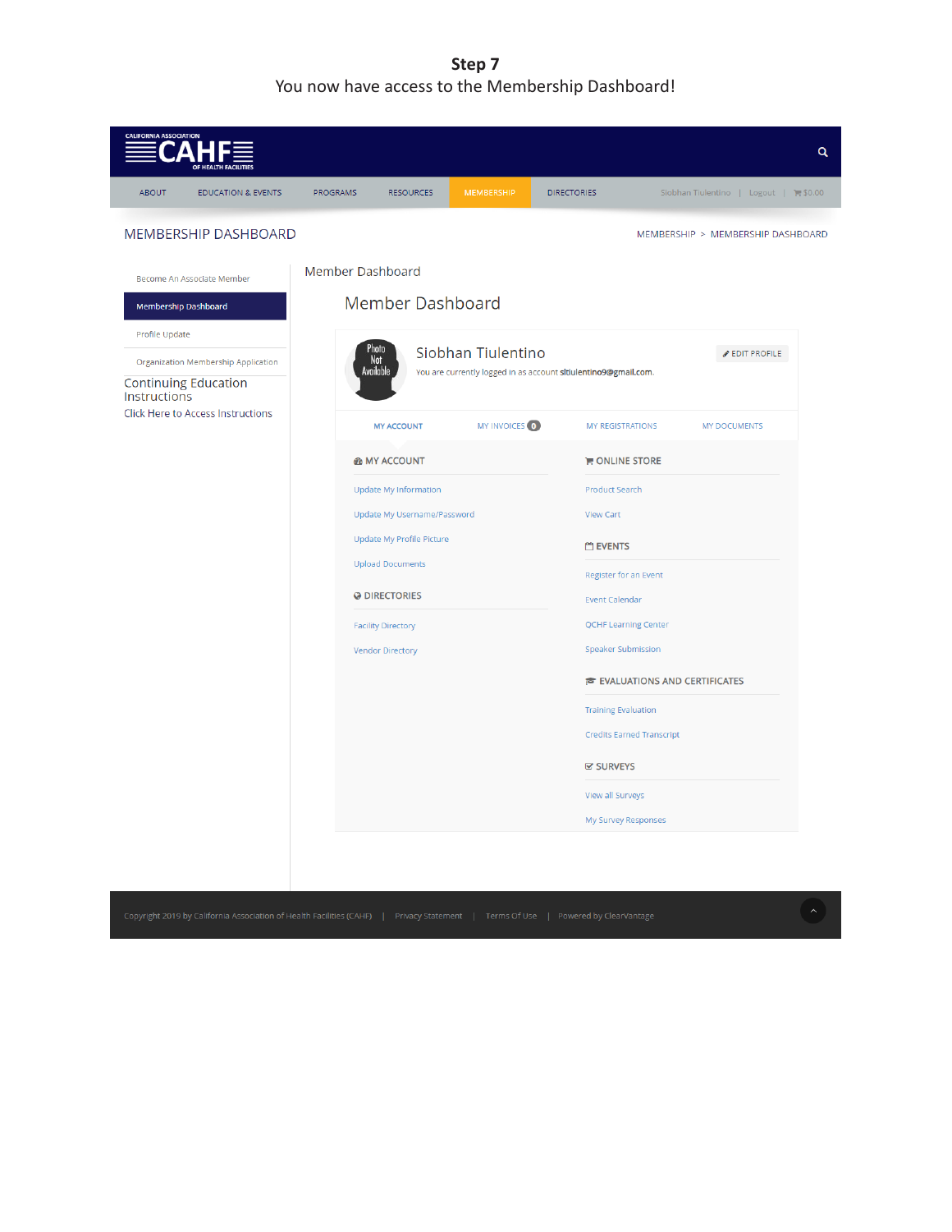**Step 7**  You now have access to the Membership Dashboard!

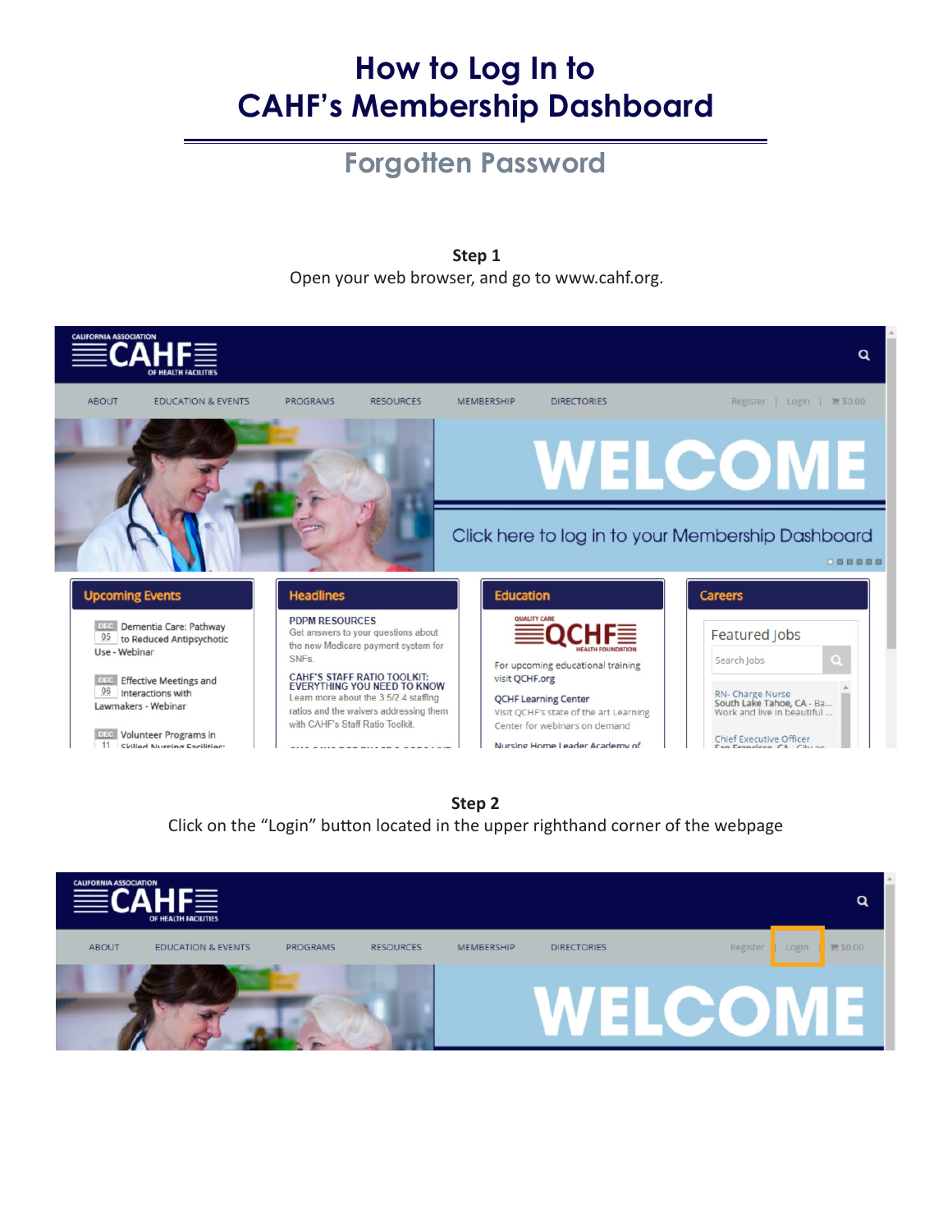# **How to Log In to CAHF's Membership Dashboard**

### **Forgotten Password**

**Step 1**

Open your web browser, and go to www.cahf.org.





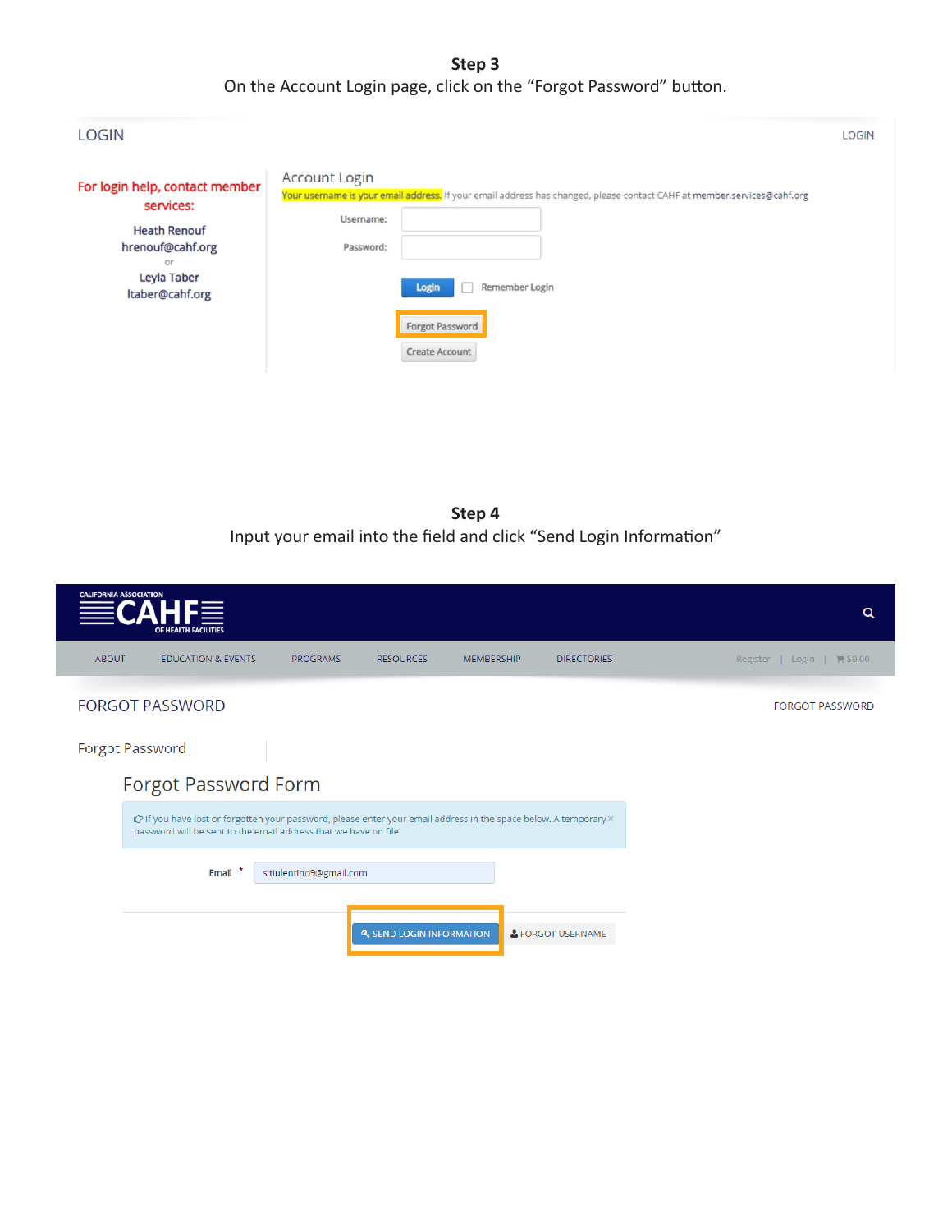**Step 3** On the Account Login page, click on the "Forgot Password" button.

| <b>LOGIN</b>                                                                                                                   |                                                                                                                                                                                                                                                                | <b>LOGIN</b> |
|--------------------------------------------------------------------------------------------------------------------------------|----------------------------------------------------------------------------------------------------------------------------------------------------------------------------------------------------------------------------------------------------------------|--------------|
| For login help, contact member<br>services:<br><b>Heath Renouf</b><br>hrenouf@cahf.org<br>or<br>Leyla Taber<br>Itaber@cahf.org | <b>Account Login</b><br>Your username is your email address, If your email address has changed, please contact CAHF at member.services@cahf.org<br>Username:<br>Password:<br><b>Remember Login</b><br>Login<br><b>Forgot Password</b><br><b>Create Account</b> |              |

**Step 4** Input your email into the field and click "Send Login Information"

|              | <b>CALIFORNIA ASSOCIATION</b><br>HF≣<br>OF HEALTH FACILITIES                                                                                                                          |                         |                                 |                   |                    | Q                                   |
|--------------|---------------------------------------------------------------------------------------------------------------------------------------------------------------------------------------|-------------------------|---------------------------------|-------------------|--------------------|-------------------------------------|
| <b>ABOUT</b> | <b>EDUCATION &amp; EVENTS</b>                                                                                                                                                         | <b>PROGRAMS</b>         | <b>RESOURCES</b>                | <b>MEMBERSHIP</b> | <b>DIRECTORIES</b> | $\equiv$ \$0.00<br>Register   Login |
|              | <b>FORGOT PASSWORD</b>                                                                                                                                                                |                         |                                 |                   |                    | <b>FORGOT PASSWORD</b>              |
|              | <b>Forgot Password</b>                                                                                                                                                                |                         |                                 |                   |                    |                                     |
|              | Forgot Password Form                                                                                                                                                                  |                         |                                 |                   |                    |                                     |
|              | ich if you have lost or forgotten your password, please enter your email address in the space below. A temporary×<br>password will be sent to the email address that we have on file. |                         |                                 |                   |                    |                                     |
|              | Email <sup>*</sup>                                                                                                                                                                    | sitiulentino9@gmail.com |                                 |                   |                    |                                     |
|              |                                                                                                                                                                                       |                         | <b>4 SEND LOGIN INFORMATION</b> |                   | & FORGOT USERNAME  |                                     |